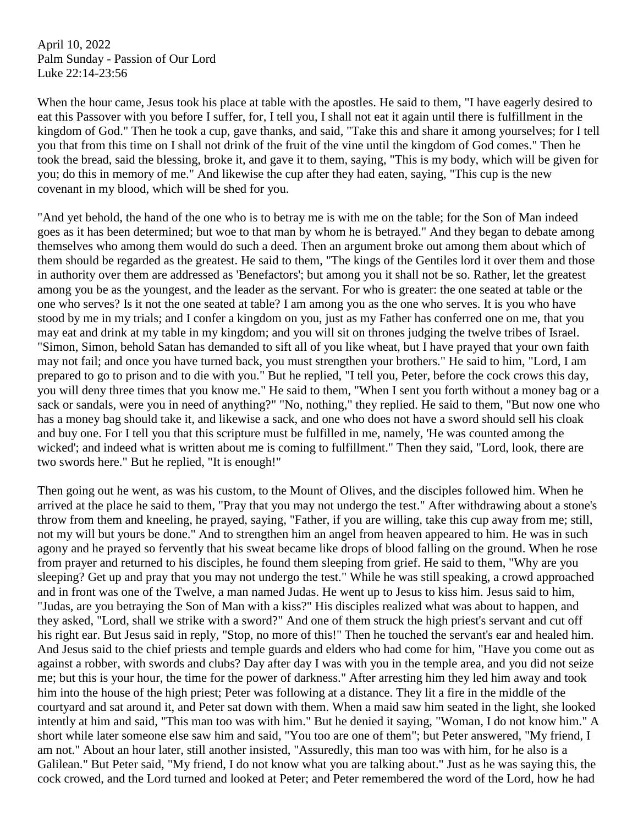April 10, 2022 Palm Sunday - Passion of Our Lord Luke 22:14-23:56

When the hour came, Jesus took his place at table with the apostles. He said to them, "I have eagerly desired to eat this Passover with you before I suffer, for, I tell you, I shall not eat it again until there is fulfillment in the kingdom of God." Then he took a cup, gave thanks, and said, "Take this and share it among yourselves; for I tell you that from this time on I shall not drink of the fruit of the vine until the kingdom of God comes." Then he took the bread, said the blessing, broke it, and gave it to them, saying, "This is my body, which will be given for you; do this in memory of me." And likewise the cup after they had eaten, saying, "This cup is the new covenant in my blood, which will be shed for you.

"And yet behold, the hand of the one who is to betray me is with me on the table; for the Son of Man indeed goes as it has been determined; but woe to that man by whom he is betrayed." And they began to debate among themselves who among them would do such a deed. Then an argument broke out among them about which of them should be regarded as the greatest. He said to them, "The kings of the Gentiles lord it over them and those in authority over them are addressed as 'Benefactors'; but among you it shall not be so. Rather, let the greatest among you be as the youngest, and the leader as the servant. For who is greater: the one seated at table or the one who serves? Is it not the one seated at table? I am among you as the one who serves. It is you who have stood by me in my trials; and I confer a kingdom on you, just as my Father has conferred one on me, that you may eat and drink at my table in my kingdom; and you will sit on thrones judging the twelve tribes of Israel. "Simon, Simon, behold Satan has demanded to sift all of you like wheat, but I have prayed that your own faith may not fail; and once you have turned back, you must strengthen your brothers." He said to him, "Lord, I am prepared to go to prison and to die with you." But he replied, "I tell you, Peter, before the cock crows this day, you will deny three times that you know me." He said to them, "When I sent you forth without a money bag or a sack or sandals, were you in need of anything?" "No, nothing," they replied. He said to them, "But now one who has a money bag should take it, and likewise a sack, and one who does not have a sword should sell his cloak and buy one. For I tell you that this scripture must be fulfilled in me, namely, 'He was counted among the wicked'; and indeed what is written about me is coming to fulfillment." Then they said, "Lord, look, there are two swords here." But he replied, "It is enough!"

Then going out he went, as was his custom, to the Mount of Olives, and the disciples followed him. When he arrived at the place he said to them, "Pray that you may not undergo the test." After withdrawing about a stone's throw from them and kneeling, he prayed, saying, "Father, if you are willing, take this cup away from me; still, not my will but yours be done." And to strengthen him an angel from heaven appeared to him. He was in such agony and he prayed so fervently that his sweat became like drops of blood falling on the ground. When he rose from prayer and returned to his disciples, he found them sleeping from grief. He said to them, "Why are you sleeping? Get up and pray that you may not undergo the test." While he was still speaking, a crowd approached and in front was one of the Twelve, a man named Judas. He went up to Jesus to kiss him. Jesus said to him, "Judas, are you betraying the Son of Man with a kiss?" His disciples realized what was about to happen, and they asked, "Lord, shall we strike with a sword?" And one of them struck the high priest's servant and cut off his right ear. But Jesus said in reply, "Stop, no more of this!" Then he touched the servant's ear and healed him. And Jesus said to the chief priests and temple guards and elders who had come for him, "Have you come out as against a robber, with swords and clubs? Day after day I was with you in the temple area, and you did not seize me; but this is your hour, the time for the power of darkness." After arresting him they led him away and took him into the house of the high priest; Peter was following at a distance. They lit a fire in the middle of the courtyard and sat around it, and Peter sat down with them. When a maid saw him seated in the light, she looked intently at him and said, "This man too was with him." But he denied it saying, "Woman, I do not know him." A short while later someone else saw him and said, "You too are one of them"; but Peter answered, "My friend, I am not." About an hour later, still another insisted, "Assuredly, this man too was with him, for he also is a Galilean." But Peter said, "My friend, I do not know what you are talking about." Just as he was saying this, the cock crowed, and the Lord turned and looked at Peter; and Peter remembered the word of the Lord, how he had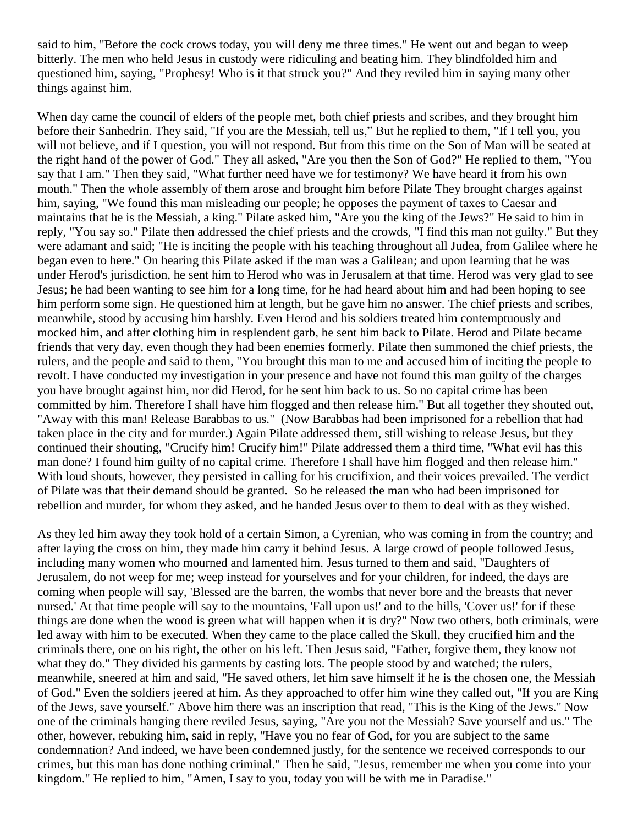said to him, "Before the cock crows today, you will deny me three times." He went out and began to weep bitterly. The men who held Jesus in custody were ridiculing and beating him. They blindfolded him and questioned him, saying, "Prophesy! Who is it that struck you?" And they reviled him in saying many other things against him.

When day came the council of elders of the people met, both chief priests and scribes, and they brought him before their Sanhedrin. They said, "If you are the Messiah, tell us," But he replied to them, "If I tell you, you will not believe, and if I question, you will not respond. But from this time on the Son of Man will be seated at the right hand of the power of God." They all asked, "Are you then the Son of God?" He replied to them, "You say that I am." Then they said, "What further need have we for testimony? We have heard it from his own mouth." Then the whole assembly of them arose and brought him before Pilate They brought charges against him, saying, "We found this man misleading our people; he opposes the payment of taxes to Caesar and maintains that he is the Messiah, a king." Pilate asked him, "Are you the king of the Jews?" He said to him in reply, "You say so." Pilate then addressed the chief priests and the crowds, "I find this man not guilty." But they were adamant and said; "He is inciting the people with his teaching throughout all Judea, from Galilee where he began even to here." On hearing this Pilate asked if the man was a Galilean; and upon learning that he was under Herod's jurisdiction, he sent him to Herod who was in Jerusalem at that time. Herod was very glad to see Jesus; he had been wanting to see him for a long time, for he had heard about him and had been hoping to see him perform some sign. He questioned him at length, but he gave him no answer. The chief priests and scribes, meanwhile, stood by accusing him harshly. Even Herod and his soldiers treated him contemptuously and mocked him, and after clothing him in resplendent garb, he sent him back to Pilate. Herod and Pilate became friends that very day, even though they had been enemies formerly. Pilate then summoned the chief priests, the rulers, and the people and said to them, "You brought this man to me and accused him of inciting the people to revolt. I have conducted my investigation in your presence and have not found this man guilty of the charges you have brought against him, nor did Herod, for he sent him back to us. So no capital crime has been committed by him. Therefore I shall have him flogged and then release him." But all together they shouted out, "Away with this man! Release Barabbas to us." (Now Barabbas had been imprisoned for a rebellion that had taken place in the city and for murder.) Again Pilate addressed them, still wishing to release Jesus, but they continued their shouting, "Crucify him! Crucify him!" Pilate addressed them a third time, "What evil has this man done? I found him guilty of no capital crime. Therefore I shall have him flogged and then release him." With loud shouts, however, they persisted in calling for his crucifixion, and their voices prevailed. The verdict of Pilate was that their demand should be granted. So he released the man who had been imprisoned for rebellion and murder, for whom they asked, and he handed Jesus over to them to deal with as they wished.

As they led him away they took hold of a certain Simon, a Cyrenian, who was coming in from the country; and after laying the cross on him, they made him carry it behind Jesus. A large crowd of people followed Jesus, including many women who mourned and lamented him. Jesus turned to them and said, "Daughters of Jerusalem, do not weep for me; weep instead for yourselves and for your children, for indeed, the days are coming when people will say, 'Blessed are the barren, the wombs that never bore and the breasts that never nursed.' At that time people will say to the mountains, 'Fall upon us!' and to the hills, 'Cover us!' for if these things are done when the wood is green what will happen when it is dry?" Now two others, both criminals, were led away with him to be executed. When they came to the place called the Skull, they crucified him and the criminals there, one on his right, the other on his left. Then Jesus said, "Father, forgive them, they know not what they do." They divided his garments by casting lots. The people stood by and watched; the rulers, meanwhile, sneered at him and said, "He saved others, let him save himself if he is the chosen one, the Messiah of God." Even the soldiers jeered at him. As they approached to offer him wine they called out, "If you are King of the Jews, save yourself." Above him there was an inscription that read, "This is the King of the Jews." Now one of the criminals hanging there reviled Jesus, saying, "Are you not the Messiah? Save yourself and us." The other, however, rebuking him, said in reply, "Have you no fear of God, for you are subject to the same condemnation? And indeed, we have been condemned justly, for the sentence we received corresponds to our crimes, but this man has done nothing criminal." Then he said, "Jesus, remember me when you come into your kingdom." He replied to him, "Amen, I say to you, today you will be with me in Paradise."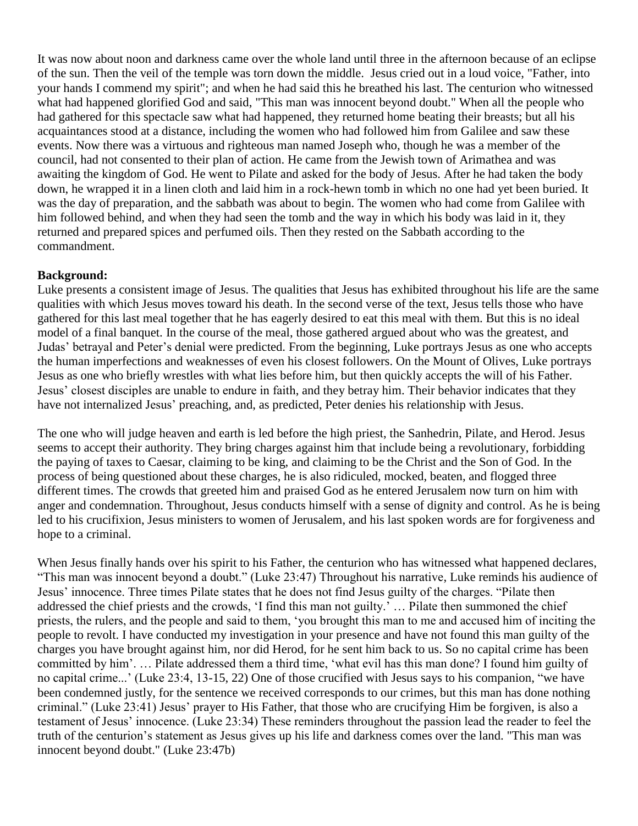It was now about noon and darkness came over the whole land until three in the afternoon because of an eclipse of the sun. Then the veil of the temple was torn down the middle. Jesus cried out in a loud voice, "Father, into your hands I commend my spirit"; and when he had said this he breathed his last. The centurion who witnessed what had happened glorified God and said, "This man was innocent beyond doubt." When all the people who had gathered for this spectacle saw what had happened, they returned home beating their breasts; but all his acquaintances stood at a distance, including the women who had followed him from Galilee and saw these events. Now there was a virtuous and righteous man named Joseph who, though he was a member of the council, had not consented to their plan of action. He came from the Jewish town of Arimathea and was awaiting the kingdom of God. He went to Pilate and asked for the body of Jesus. After he had taken the body down, he wrapped it in a linen cloth and laid him in a rock-hewn tomb in which no one had yet been buried. It was the day of preparation, and the sabbath was about to begin. The women who had come from Galilee with him followed behind, and when they had seen the tomb and the way in which his body was laid in it, they returned and prepared spices and perfumed oils. Then they rested on the Sabbath according to the commandment.

### **Background:**

Luke presents a consistent image of Jesus. The qualities that Jesus has exhibited throughout his life are the same qualities with which Jesus moves toward his death. In the second verse of the text, Jesus tells those who have gathered for this last meal together that he has eagerly desired to eat this meal with them. But this is no ideal model of a final banquet. In the course of the meal, those gathered argued about who was the greatest, and Judas' betrayal and Peter's denial were predicted. From the beginning, Luke portrays Jesus as one who accepts the human imperfections and weaknesses of even his closest followers. On the Mount of Olives, Luke portrays Jesus as one who briefly wrestles with what lies before him, but then quickly accepts the will of his Father. Jesus' closest disciples are unable to endure in faith, and they betray him. Their behavior indicates that they have not internalized Jesus' preaching, and, as predicted, Peter denies his relationship with Jesus.

The one who will judge heaven and earth is led before the high priest, the Sanhedrin, Pilate, and Herod. Jesus seems to accept their authority. They bring charges against him that include being a revolutionary, forbidding the paying of taxes to Caesar, claiming to be king, and claiming to be the Christ and the Son of God. In the process of being questioned about these charges, he is also ridiculed, mocked, beaten, and flogged three different times. The crowds that greeted him and praised God as he entered Jerusalem now turn on him with anger and condemnation. Throughout, Jesus conducts himself with a sense of dignity and control. As he is being led to his crucifixion, Jesus ministers to women of Jerusalem, and his last spoken words are for forgiveness and hope to a criminal.

When Jesus finally hands over his spirit to his Father, the centurion who has witnessed what happened declares, "This man was innocent beyond a doubt." (Luke 23:47) Throughout his narrative, Luke reminds his audience of Jesus' innocence. Three times Pilate states that he does not find Jesus guilty of the charges. "Pilate then addressed the chief priests and the crowds, 'I find this man not guilty.' … Pilate then summoned the chief priests, the rulers, and the people and said to them, 'you brought this man to me and accused him of inciting the people to revolt. I have conducted my investigation in your presence and have not found this man guilty of the charges you have brought against him, nor did Herod, for he sent him back to us. So no capital crime has been committed by him'. … Pilate addressed them a third time, 'what evil has this man done? I found him guilty of no capital crime...' (Luke 23:4, 13-15, 22) One of those crucified with Jesus says to his companion, "we have been condemned justly, for the sentence we received corresponds to our crimes, but this man has done nothing criminal." (Luke 23:41) Jesus' prayer to His Father, that those who are crucifying Him be forgiven, is also a testament of Jesus' innocence. (Luke 23:34) These reminders throughout the passion lead the reader to feel the truth of the centurion's statement as Jesus gives up his life and darkness comes over the land. "This man was innocent beyond doubt." (Luke 23:47b)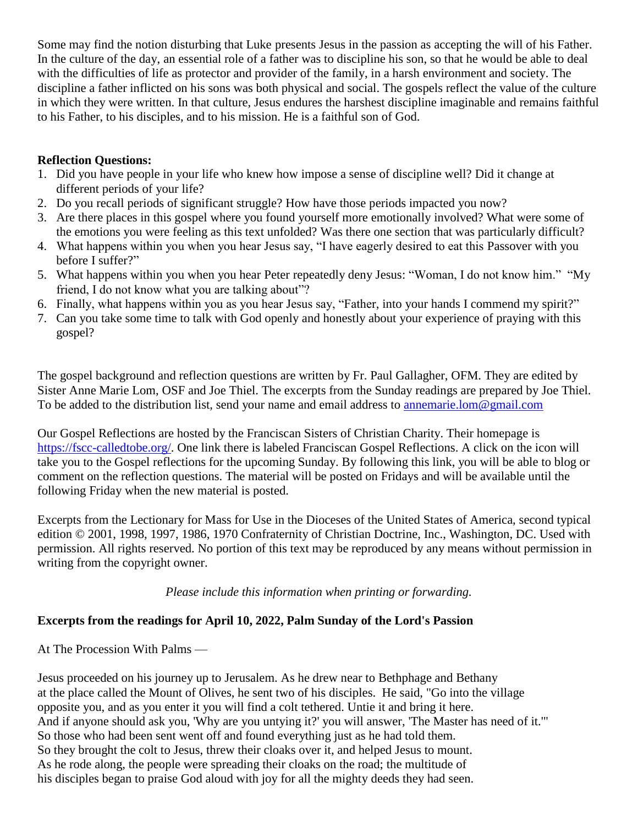Some may find the notion disturbing that Luke presents Jesus in the passion as accepting the will of his Father. In the culture of the day, an essential role of a father was to discipline his son, so that he would be able to deal with the difficulties of life as protector and provider of the family, in a harsh environment and society. The discipline a father inflicted on his sons was both physical and social. The gospels reflect the value of the culture in which they were written. In that culture, Jesus endures the harshest discipline imaginable and remains faithful to his Father, to his disciples, and to his mission. He is a faithful son of God.

### **Reflection Questions:**

- 1. Did you have people in your life who knew how impose a sense of discipline well? Did it change at different periods of your life?
- 2. Do you recall periods of significant struggle? How have those periods impacted you now?
- 3. Are there places in this gospel where you found yourself more emotionally involved? What were some of the emotions you were feeling as this text unfolded? Was there one section that was particularly difficult?
- 4. What happens within you when you hear Jesus say, "I have eagerly desired to eat this Passover with you before I suffer?"
- 5. What happens within you when you hear Peter repeatedly deny Jesus: "Woman, I do not know him." "My friend, I do not know what you are talking about"?
- 6. Finally, what happens within you as you hear Jesus say, "Father, into your hands I commend my spirit?"
- 7. Can you take some time to talk with God openly and honestly about your experience of praying with this gospel?

The gospel background and reflection questions are written by Fr. Paul Gallagher, OFM. They are edited by Sister Anne Marie Lom, OSF and Joe Thiel. The excerpts from the Sunday readings are prepared by Joe Thiel. To be added to the distribution list, send your name and email address to [annemarie.lom@gmail.com](mailto:annemarie.lom@gmail.com)

Our Gospel Reflections are hosted by the Franciscan Sisters of Christian Charity. Their homepage is [https://fscc-calledtobe.org/.](https://fscc-calledtobe.org/) One link there is labeled Franciscan Gospel Reflections. A click on the icon will take you to the Gospel reflections for the upcoming Sunday. By following this link, you will be able to blog or comment on the reflection questions. The material will be posted on Fridays and will be available until the following Friday when the new material is posted.

Excerpts from the Lectionary for Mass for Use in the Dioceses of the United States of America, second typical edition © 2001, 1998, 1997, 1986, 1970 Confraternity of Christian Doctrine, Inc., Washington, DC. Used with permission. All rights reserved. No portion of this text may be reproduced by any means without permission in writing from the copyright owner.

*Please include this information when printing or forwarding.*

# **Excerpts from the readings for April 10, 2022, Palm Sunday of the Lord's Passion**

At The Procession With Palms —

Jesus proceeded on his journey up to Jerusalem. As he drew near to Bethphage and Bethany at the place called the Mount of Olives, he sent two of his disciples. He said, "Go into the village opposite you, and as you enter it you will find a colt tethered. Untie it and bring it here. And if anyone should ask you, 'Why are you untying it?' you will answer, 'The Master has need of it.'" So those who had been sent went off and found everything just as he had told them. So they brought the colt to Jesus, threw their cloaks over it, and helped Jesus to mount. As he rode along, the people were spreading their cloaks on the road; the multitude of his disciples began to praise God aloud with joy for all the mighty deeds they had seen.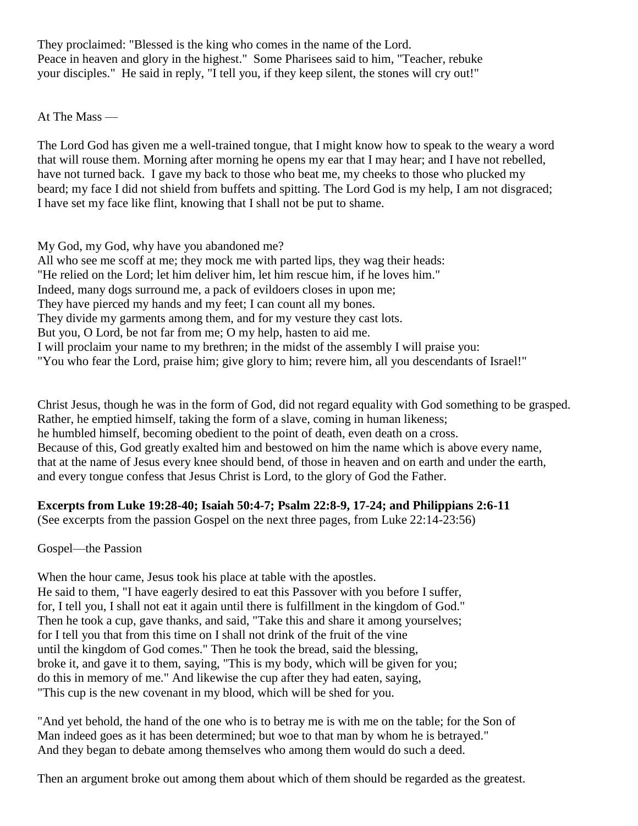They proclaimed: "Blessed is the king who comes in the name of the Lord. Peace in heaven and glory in the highest." Some Pharisees said to him, "Teacher, rebuke your disciples." He said in reply, "I tell you, if they keep silent, the stones will cry out!"

At The Mass —

The Lord God has given me a well-trained tongue, that I might know how to speak to the weary a word that will rouse them. Morning after morning he opens my ear that I may hear; and I have not rebelled, have not turned back. I gave my back to those who beat me, my cheeks to those who plucked my beard; my face I did not shield from buffets and spitting. The Lord God is my help, I am not disgraced; I have set my face like flint, knowing that I shall not be put to shame.

My God, my God, why have you abandoned me? All who see me scoff at me; they mock me with parted lips, they wag their heads: "He relied on the Lord; let him deliver him, let him rescue him, if he loves him." Indeed, many dogs surround me, a pack of evildoers closes in upon me; They have pierced my hands and my feet; I can count all my bones. They divide my garments among them, and for my vesture they cast lots. But you, O Lord, be not far from me; O my help, hasten to aid me. I will proclaim your name to my brethren; in the midst of the assembly I will praise you:

"You who fear the Lord, praise him; give glory to him; revere him, all you descendants of Israel!"

Christ Jesus, though he was in the form of God, did not regard equality with God something to be grasped. Rather, he emptied himself, taking the form of a slave, coming in human likeness; he humbled himself, becoming obedient to the point of death, even death on a cross. Because of this, God greatly exalted him and bestowed on him the name which is above every name, that at the name of Jesus every knee should bend, of those in heaven and on earth and under the earth, and every tongue confess that Jesus Christ is Lord, to the glory of God the Father.

### **Excerpts from Luke 19:28-40; Isaiah 50:4-7; Psalm 22:8-9, 17-24; and Philippians 2:6-11**

(See excerpts from the passion Gospel on the next three pages, from Luke 22:14-23:56)

Gospel—the Passion

When the hour came, Jesus took his place at table with the apostles. He said to them, "I have eagerly desired to eat this Passover with you before I suffer, for, I tell you, I shall not eat it again until there is fulfillment in the kingdom of God." Then he took a cup, gave thanks, and said, "Take this and share it among yourselves; for I tell you that from this time on I shall not drink of the fruit of the vine until the kingdom of God comes." Then he took the bread, said the blessing, broke it, and gave it to them, saying, "This is my body, which will be given for you; do this in memory of me." And likewise the cup after they had eaten, saying, "This cup is the new covenant in my blood, which will be shed for you.

"And yet behold, the hand of the one who is to betray me is with me on the table; for the Son of Man indeed goes as it has been determined; but woe to that man by whom he is betrayed." And they began to debate among themselves who among them would do such a deed.

Then an argument broke out among them about which of them should be regarded as the greatest.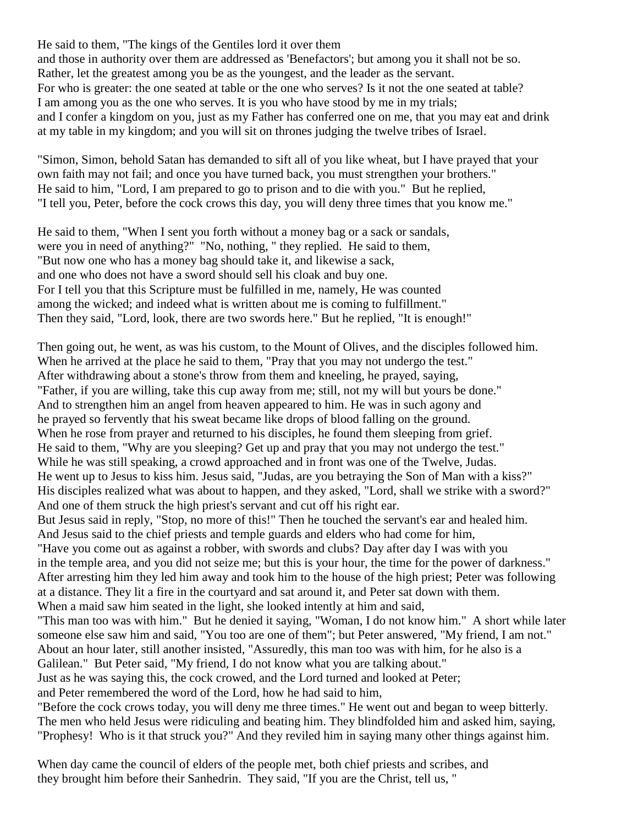He said to them, "The kings of the Gentiles lord it over them and those in authority over them are addressed as 'Benefactors'; but among you it shall not be so. Rather, let the greatest among you be as the youngest, and the leader as the servant. For who is greater: the one seated at table or the one who serves? Is it not the one seated at table? I am among you as the one who serves. It is you who have stood by me in my trials; and I confer a kingdom on you, just as my Father has conferred one on me, that you may eat and drink at my table in my kingdom; and you will sit on thrones judging the twelve tribes of Israel.

"Simon, Simon, behold Satan has demanded to sift all of you like wheat, but I have prayed that your own faith may not fail; and once you have turned back, you must strengthen your brothers." He said to him, "Lord, I am prepared to go to prison and to die with you." But he replied, "I tell you, Peter, before the cock crows this day, you will deny three times that you know me."

He said to them, "When I sent you forth without a money bag or a sack or sandals, were you in need of anything?" "No, nothing, " they replied. He said to them, "But now one who has a money bag should take it, and likewise a sack, and one who does not have a sword should sell his cloak and buy one. For I tell you that this Scripture must be fulfilled in me, namely, He was counted among the wicked; and indeed what is written about me is coming to fulfillment." Then they said, "Lord, look, there are two swords here." But he replied, "It is enough!"

Then going out, he went, as was his custom, to the Mount of Olives, and the disciples followed him. When he arrived at the place he said to them, "Pray that you may not undergo the test." After withdrawing about a stone's throw from them and kneeling, he prayed, saying, "Father, if you are willing, take this cup away from me; still, not my will but yours be done." And to strengthen him an angel from heaven appeared to him. He was in such agony and he prayed so fervently that his sweat became like drops of blood falling on the ground. When he rose from prayer and returned to his disciples, he found them sleeping from grief. He said to them, "Why are you sleeping? Get up and pray that you may not undergo the test." While he was still speaking, a crowd approached and in front was one of the Twelve, Judas. He went up to Jesus to kiss him. Jesus said, "Judas, are you betraying the Son of Man with a kiss?" His disciples realized what was about to happen, and they asked, "Lord, shall we strike with a sword?" And one of them struck the high priest's servant and cut off his right ear. But Jesus said in reply, "Stop, no more of this!" Then he touched the servant's ear and healed him. And Jesus said to the chief priests and temple guards and elders who had come for him, "Have you come out as against a robber, with swords and clubs? Day after day I was with you in the temple area, and you did not seize me; but this is your hour, the time for the power of darkness." After arresting him they led him away and took him to the house of the high priest; Peter was following at a distance. They lit a fire in the courtyard and sat around it, and Peter sat down with them. When a maid saw him seated in the light, she looked intently at him and said, "This man too was with him." But he denied it saying, "Woman, I do not know him." A short while later someone else saw him and said, "You too are one of them"; but Peter answered, "My friend, I am not." About an hour later, still another insisted, "Assuredly, this man too was with him, for he also is a Galilean." But Peter said, "My friend, I do not know what you are talking about." Just as he was saying this, the cock crowed, and the Lord turned and looked at Peter; and Peter remembered the word of the Lord, how he had said to him, "Before the cock crows today, you will deny me three times." He went out and began to weep bitterly.

The men who held Jesus were ridiculing and beating him. They blindfolded him and asked him, saying, "Prophesy! Who is it that struck you?" And they reviled him in saying many other things against him.

When day came the council of elders of the people met, both chief priests and scribes, and they brought him before their Sanhedrin. They said, "If you are the Christ, tell us, "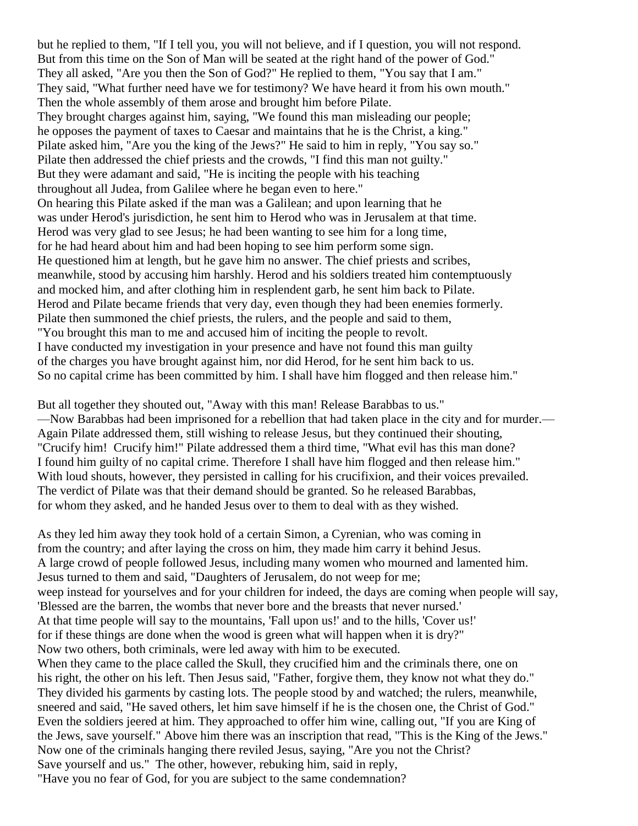but he replied to them, "If I tell you, you will not believe, and if I question, you will not respond. But from this time on the Son of Man will be seated at the right hand of the power of God." They all asked, "Are you then the Son of God?" He replied to them, "You say that I am." They said, "What further need have we for testimony? We have heard it from his own mouth." Then the whole assembly of them arose and brought him before Pilate. They brought charges against him, saying, "We found this man misleading our people; he opposes the payment of taxes to Caesar and maintains that he is the Christ, a king." Pilate asked him, "Are you the king of the Jews?" He said to him in reply, "You say so." Pilate then addressed the chief priests and the crowds, "I find this man not guilty." But they were adamant and said, "He is inciting the people with his teaching throughout all Judea, from Galilee where he began even to here." On hearing this Pilate asked if the man was a Galilean; and upon learning that he was under Herod's jurisdiction, he sent him to Herod who was in Jerusalem at that time. Herod was very glad to see Jesus; he had been wanting to see him for a long time, for he had heard about him and had been hoping to see him perform some sign. He questioned him at length, but he gave him no answer. The chief priests and scribes, meanwhile, stood by accusing him harshly. Herod and his soldiers treated him contemptuously and mocked him, and after clothing him in resplendent garb, he sent him back to Pilate. Herod and Pilate became friends that very day, even though they had been enemies formerly. Pilate then summoned the chief priests, the rulers, and the people and said to them, "You brought this man to me and accused him of inciting the people to revolt. I have conducted my investigation in your presence and have not found this man guilty of the charges you have brought against him, nor did Herod, for he sent him back to us. So no capital crime has been committed by him. I shall have him flogged and then release him."

But all together they shouted out, "Away with this man! Release Barabbas to us." —Now Barabbas had been imprisoned for a rebellion that had taken place in the city and for murder.— Again Pilate addressed them, still wishing to release Jesus, but they continued their shouting, "Crucify him! Crucify him!" Pilate addressed them a third time, "What evil has this man done? I found him guilty of no capital crime. Therefore I shall have him flogged and then release him." With loud shouts, however, they persisted in calling for his crucifixion, and their voices prevailed. The verdict of Pilate was that their demand should be granted. So he released Barabbas, for whom they asked, and he handed Jesus over to them to deal with as they wished.

As they led him away they took hold of a certain Simon, a Cyrenian, who was coming in from the country; and after laying the cross on him, they made him carry it behind Jesus. A large crowd of people followed Jesus, including many women who mourned and lamented him. Jesus turned to them and said, "Daughters of Jerusalem, do not weep for me; weep instead for yourselves and for your children for indeed, the days are coming when people will say, 'Blessed are the barren, the wombs that never bore and the breasts that never nursed.' At that time people will say to the mountains, 'Fall upon us!' and to the hills, 'Cover us!' for if these things are done when the wood is green what will happen when it is dry?" Now two others, both criminals, were led away with him to be executed. When they came to the place called the Skull, they crucified him and the criminals there, one on his right, the other on his left. Then Jesus said, "Father, forgive them, they know not what they do." They divided his garments by casting lots. The people stood by and watched; the rulers, meanwhile, sneered and said, "He saved others, let him save himself if he is the chosen one, the Christ of God." Even the soldiers jeered at him. They approached to offer him wine, calling out, "If you are King of the Jews, save yourself." Above him there was an inscription that read, "This is the King of the Jews." Now one of the criminals hanging there reviled Jesus, saying, "Are you not the Christ? Save yourself and us." The other, however, rebuking him, said in reply, "Have you no fear of God, for you are subject to the same condemnation?